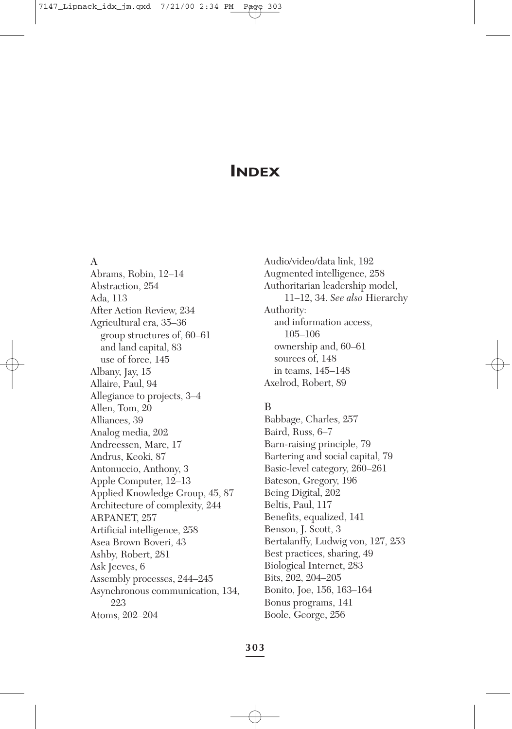# **INDEX**

#### A

Abrams, Robin, 12–14 Abstraction, 254 Ada, 113 After Action Review, 234 Agricultural era, 35–36 group structures of, 60–61 and land capital, 83 use of force, 145 Albany, Jay, 15 Allaire, Paul, 94 Allegiance to projects, 3–4 Allen, Tom, 20 Alliances, 39 Analog media, 202 Andreessen, Marc, 17 Andrus, Keoki, 87 Antonuccio, Anthony, 3 Apple Computer, 12–13 Applied Knowledge Group, 45, 87 Architecture of complexity, 244 ARPANET, 257 Artificial intelligence, 258 Asea Brown Boveri, 43 Ashby, Robert, 281 Ask Jeeves, 6 Assembly processes, 244–245 Asynchronous communication, 134, 223 Atoms, 202–204

Audio/video/data link, 192 Augmented intelligence, 258 Authoritarian leadership model, 11–12, 34. *See also* Hierarchy Authority: and information access, 105–106 ownership and, 60–61 sources of, 148 in teams, 145–148 Axelrod, Robert, 89

# B

Babbage, Charles, 257 Baird, Russ, 6–7 Barn-raising principle, 79 Bartering and social capital, 79 Basic-level category, 260–261 Bateson, Gregory, 196 Being Digital, 202 Beltis, Paul, 117 Benefits, equalized, 141 Benson, J. Scott, 3 Bertalanffy, Ludwig von, 127, 253 Best practices, sharing, 49 Biological Internet, 283 Bits, 202, 204–205 Bonito, Joe, 156, 163–164 Bonus programs, 141 Boole, George, 256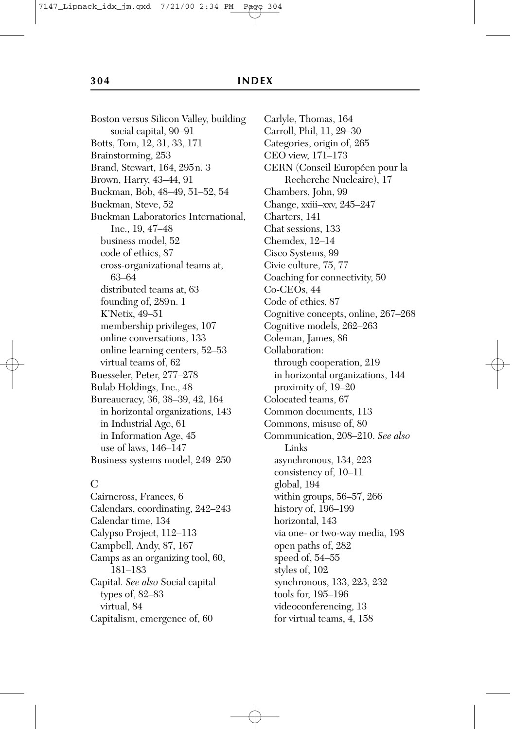Boston versus Silicon Valley, building social capital, 90–91 Botts, Tom, 12, 31, 33, 171 Brainstorming, 253 Brand, Stewart, 164, 295n. 3 Brown, Harry, 43–44, 91 Buckman, Bob, 48–49, 51–52, 54 Buckman, Steve, 52 Buckman Laboratories International, Inc., 19, 47–48 business model, 52 code of ethics, 87 cross-organizational teams at, 63–64 distributed teams at, 63 founding of, 289n. 1 K'Netix, 49–51 membership privileges, 107 online conversations, 133 online learning centers, 52–53 virtual teams of, 62 Buesseler, Peter, 277–278 Bulab Holdings, Inc., 48 Bureaucracy, 36, 38–39, 42, 164 in horizontal organizations, 143 in Industrial Age, 61 in Information Age, 45 use of laws, 146–147 Business systems model, 249–250

### $\overline{C}$

Cairncross, Frances, 6 Calendars, coordinating, 242–243 Calendar time, 134 Calypso Project, 112–113 Campbell, Andy, 87, 167 Camps as an organizing tool, 60, 181–183 Capital. *See also* Social capital types of, 82–83 virtual, 84 Capitalism, emergence of, 60

Carlyle, Thomas, 164 Carroll, Phil, 11, 29–30 Categories, origin of, 265 CEO view, 171–173 CERN (Conseil Européen pour la Recherche Nucleaire), 17 Chambers, John, 99 Change, xxiii–xxv, 245–247 Charters, 141 Chat sessions, 133 Chemdex, 12–14 Cisco Systems, 99 Civic culture, 75, 77 Coaching for connectivity, 50 Co-CEOs, 44 Code of ethics, 87 Cognitive concepts, online, 267–268 Cognitive models, 262–263 Coleman, James, 86 Collaboration: through cooperation, 219 in horizontal organizations, 144 proximity of, 19–20 Colocated teams, 67 Common documents, 113 Commons, misuse of, 80 Communication, 208–210. *See also* Links asynchronous, 134, 223 consistency of, 10–11 global, 194 within groups, 56–57, 266 history of, 196–199 horizontal, 143 via one- or two-way media, 198 open paths of, 282 speed of, 54–55 styles of, 102 synchronous, 133, 223, 232 tools for, 195–196 videoconferencing, 13 for virtual teams, 4, 158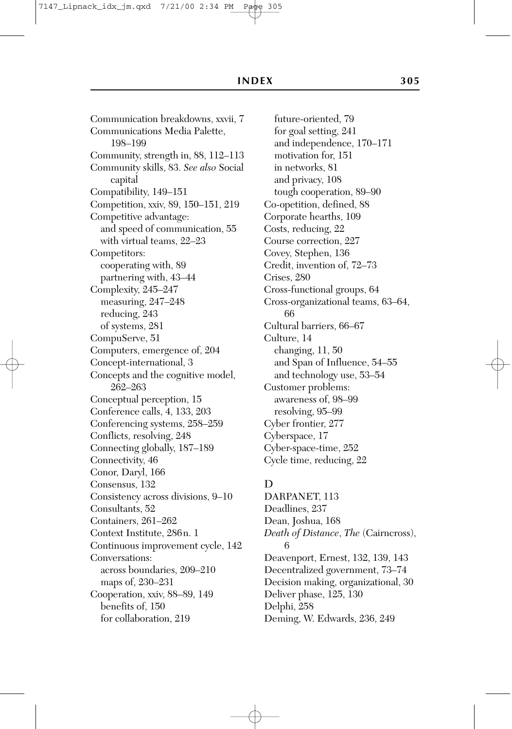Communication breakdowns, xxvii, 7 Communications Media Palette, 198–199 Community, strength in, 88, 112–113 Community skills, 83. *See also* Social capital Compatibility, 149–151 Competition, xxiv, 89, 150–151, 219 Competitive advantage: and speed of communication, 55 with virtual teams, 22–23 Competitors: cooperating with, 89 partnering with, 43–44 Complexity, 245–247 measuring, 247–248 reducing, 243 of systems, 281 CompuServe, 51 Computers, emergence of, 204 Concept-international, 3 Concepts and the cognitive model, 262–263 Conceptual perception, 15 Conference calls, 4, 133, 203 Conferencing systems, 258–259 Conflicts, resolving, 248 Connecting globally, 187–189 Connectivity, 46 Conor, Daryl, 166 Consensus, 132 Consistency across divisions, 9–10 Consultants, 52 Containers, 261–262 Context Institute, 286n. 1 Continuous improvement cycle, 142 Conversations: across boundaries, 209–210 maps of, 230–231 Cooperation, xxiv, 88–89, 149 benefits of, 150 for collaboration, 219

future-oriented, 79 for goal setting, 241 and independence, 170–171 motivation for, 151 in networks, 81 and privacy, 108 tough cooperation, 89–90 Co-opetition, defined, 88 Corporate hearths, 109 Costs, reducing, 22 Course correction, 227 Covey, Stephen, 136 Credit, invention of, 72–73 Crises, 280 Cross-functional groups, 64 Cross-organizational teams, 63–64, 66 Cultural barriers, 66–67 Culture, 14 changing, 11, 50 and Span of Influence, 54–55 and technology use, 53–54 Customer problems: awareness of, 98–99 resolving, 95–99 Cyber frontier, 277 Cyberspace, 17 Cyber-space-time, 252 Cycle time, reducing, 22

# D

DARPANET, 113 Deadlines, 237 Dean, Joshua, 168 *Death of Distance*, *The* (Cairncross), 6 Deavenport, Ernest, 132, 139, 143 Decentralized government, 73–74 Decision making, organizational, 30 Deliver phase, 125, 130 Delphi, 258 Deming, W. Edwards, 236, 249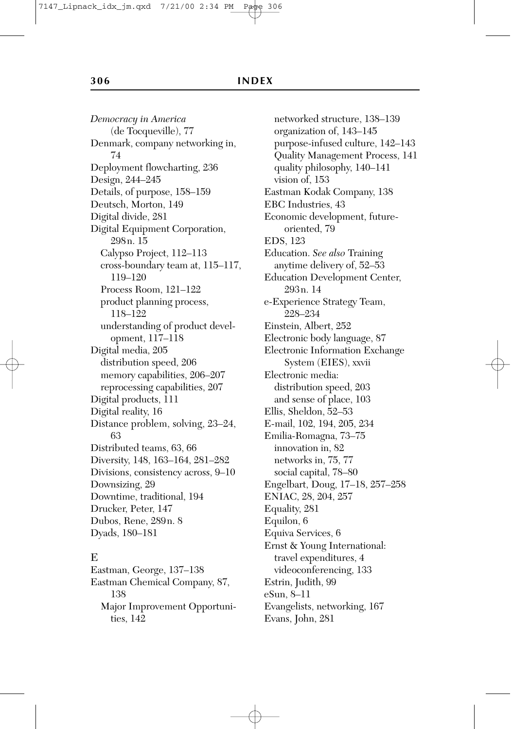*Democracy in America* (de Tocqueville), 77 Denmark, company networking in, 74 Deployment flowcharting, 236 Design, 244–245 Details, of purpose, 158–159 Deutsch, Morton, 149 Digital divide, 281 Digital Equipment Corporation, 298n. 15 Calypso Project, 112–113 cross-boundary team at, 115–117, 119–120 Process Room, 121–122 product planning process, 118–122 understanding of product development, 117–118 Digital media, 205 distribution speed, 206 memory capabilities, 206–207 reprocessing capabilities, 207 Digital products, 111 Digital reality, 16 Distance problem, solving, 23–24, 63 Distributed teams, 63, 66 Diversity, 148, 163–164, 281–282 Divisions, consistency across, 9–10 Downsizing, 29 Downtime, traditional, 194 Drucker, Peter, 147 Dubos, Rene, 289n. 8 Dyads, 180–181

### E

Eastman, George, 137–138 Eastman Chemical Company, 87, 138 Major Improvement Opportunities, 142

networked structure, 138–139 organization of, 143–145 purpose-infused culture, 142–143 Quality Management Process, 141 quality philosophy, 140–141 vision of, 153 Eastman Kodak Company, 138 EBC Industries, 43 Economic development, futureoriented, 79 EDS, 123 Education. *See also* Training anytime delivery of, 52–53 Education Development Center, 293n. 14 e-Experience Strategy Team, 228–234 Einstein, Albert, 252 Electronic body language, 87 Electronic Information Exchange System (EIES), xxvii Electronic media: distribution speed, 203 and sense of place, 103 Ellis, Sheldon, 52–53 E-mail, 102, 194, 205, 234 Emilia-Romagna, 73–75 innovation in, 82 networks in, 75, 77 social capital, 78–80 Engelbart, Doug, 17–18, 257–258 ENIAC, 28, 204, 257 Equality, 281 Equilon, 6 Equiva Services, 6 Ernst & Young International: travel expenditures, 4 videoconferencing, 133 Estrin, Judith, 99 eSun, 8–11 Evangelists, networking, 167 Evans, John, 281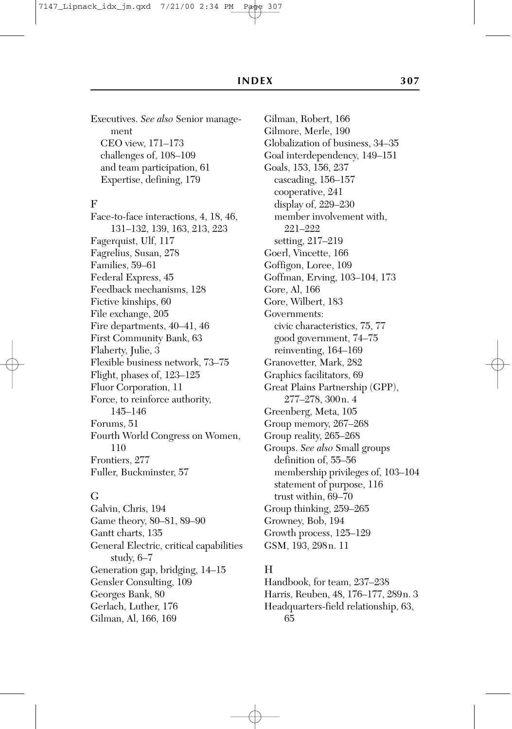Executives. *See also* Senior management CEO view, 171–173 challenges of, 108–109 and team participation, 61 Expertise, defining, 179

#### F

Face-to-face interactions, 4, 18, 46, 131–132, 139, 163, 213, 223 Fagerquist, Ulf, 117 Fagrelius, Susan, 278 Families, 59–61 Federal Express, 45 Feedback mechanisms, 128 Fictive kinships, 60 File exchange, 205 Fire departments, 40–41, 46 First Community Bank, 63 Flaherty, Julie, 3 Flexible business network, 73–75 Flight, phases of, 123–125 Fluor Corporation, 11 Force, to reinforce authority, 145–146 Forums, 51 Fourth World Congress on Women, 110 Frontiers, 277 Fuller, Buckminster, 57

#### G

Galvin, Chris, 194 Game theory, 80–81, 89–90 Gantt charts, 135 General Electric, critical capabilities study, 6–7 Generation gap, bridging, 14–15 Gensler Consulting, 109 Georges Bank, 80 Gerlach, Luther, 176 Gilman, Al, 166, 169

Gilman, Robert, 166 Gilmore, Merle, 190 Globalization of business, 34–35 Goal interdependency, 149–151 Goals, 153, 156, 237 cascading, 156–157 cooperative, 241 display of, 229–230 member involvement with, 221–222 setting, 217–219 Goerl, Vincette, 166 Goffigon, Loree, 109 Goffman, Erving, 103–104, 173 Gore, Al, 166 Gore, Wilbert, 183 Governments: civic characteristics, 75, 77 good government, 74–75 reinventing, 164–169 Granovetter, Mark, 282 Graphics facilitators, 69 Great Plains Partnership (GPP), 277–278, 300n. 4 Greenberg, Meta, 105 Group memory, 267–268 Group reality, 265–268 Groups. *See also* Small groups definition of, 55–56 membership privileges of, 103–104 statement of purpose, 116 trust within, 69–70 Group thinking, 259–265 Growney, Bob, 194 Growth process, 125–129 GSM, 193, 298n. 11

### H

Handbook, for team, 237–238 Harris, Reuben, 48, 176–177, 289n. 3 Headquarters-field relationship, 63, 65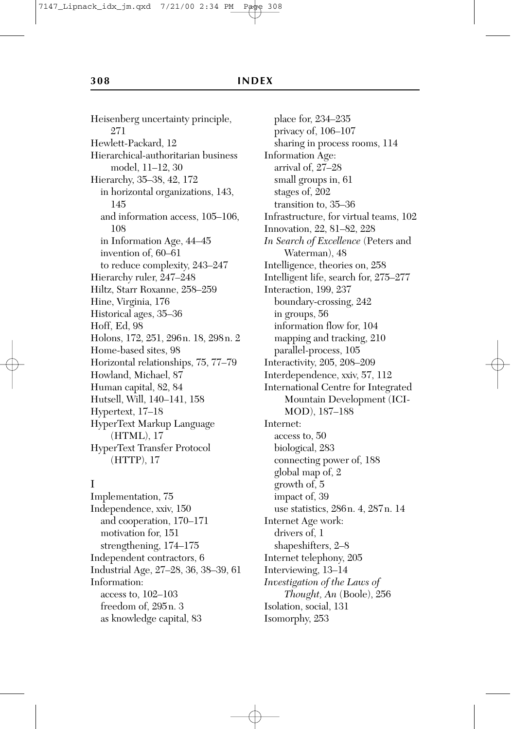Heisenberg uncertainty principle, 271 Hewlett-Packard, 12 Hierarchical-authoritarian business model, 11–12, 30 Hierarchy, 35–38, 42, 172 in horizontal organizations, 143, 145 and information access, 105–106, 108 in Information Age, 44–45 invention of, 60–61 to reduce complexity, 243–247 Hierarchy ruler, 247–248 Hiltz, Starr Roxanne, 258–259 Hine, Virginia, 176 Historical ages, 35–36 Hoff, Ed, 98 Holons, 172, 251, 296n. 18, 298n. 2 Home-based sites, 98 Horizontal relationships, 75, 77–79 Howland, Michael, 87 Human capital, 82, 84 Hutsell, Will, 140–141, 158 Hypertext, 17–18 HyperText Markup Language (HTML), 17 HyperText Transfer Protocol (HTTP), 17

### I

Implementation, 75 Independence, xxiv, 150 and cooperation, 170–171 motivation for, 151 strengthening, 174–175 Independent contractors, 6 Industrial Age, 27–28, 36, 38–39, 61 Information: access to, 102–103 freedom of, 295n. 3 as knowledge capital, 83

place for, 234–235 privacy of, 106–107 sharing in process rooms, 114 Information Age: arrival of, 27–28 small groups in, 61 stages of, 202 transition to, 35–36 Infrastructure, for virtual teams, 102 Innovation, 22, 81–82, 228 *In Search of Excellence* (Peters and Waterman), 48 Intelligence, theories on, 258 Intelligent life, search for, 275–277 Interaction, 199, 237 boundary-crossing, 242 in groups, 56 information flow for, 104 mapping and tracking, 210 parallel-process, 105 Interactivity, 205, 208–209 Interdependence, xxiv, 57, 112 International Centre for Integrated Mountain Development (ICI-MOD), 187–188 Internet: access to, 50 biological, 283 connecting power of, 188 global map of, 2 growth of, 5 impact of, 39 use statistics, 286n. 4, 287n. 14 Internet Age work: drivers of, 1 shapeshifters, 2–8 Internet telephony, 205 Interviewing, 13–14 *Investigation of the Laws of Thought, An* (Boole), 256 Isolation, social, 131 Isomorphy, 253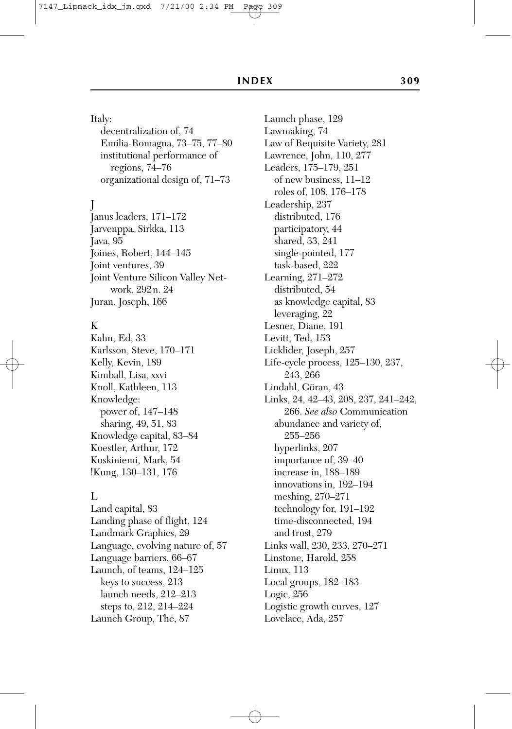#### Italy:

decentralization of, 74 Emilia-Romagna, 73–75, 77–80 institutional performance of regions, 74–76 organizational design of, 71–73

# J

Janus leaders, 171–172 Jarvenppa, Sirkka, 113 Java, 95 Joines, Robert, 144–145 Joint ventures, 39 Joint Venture Silicon Valley Network, 292n. 24 Juran, Joseph, 166

### K

Kahn, Ed, 33 Karlsson, Steve, 170–171 Kelly, Kevin, 189 Kimball, Lisa, xxvi Knoll, Kathleen, 113 Knowledge: power of, 147–148 sharing, 49, 51, 83 Knowledge capital, 83–84 Koestler, Arthur, 172 Koskiniemi, Mark, 54 !Kung, 130–131, 176

#### $L$

Land capital, 83 Landing phase of flight, 124 Landmark Graphics, 29 Language, evolving nature of, 57 Language barriers, 66–67 Launch, of teams, 124–125 keys to success, 213 launch needs, 212–213 steps to, 212, 214–224 Launch Group, The, 87

Launch phase, 129 Lawmaking, 74 Law of Requisite Variety, 281 Lawrence, John, 110, 277 Leaders, 175–179, 251 of new business, 11–12 roles of, 108, 176–178 Leadership, 237 distributed, 176 participatory, 44 shared, 33, 241 single-pointed, 177 task-based, 222 Learning, 271–272 distributed, 54 as knowledge capital, 83 leveraging, 22 Lesner, Diane, 191 Levitt, Ted, 153 Licklider, Joseph, 257 Life-cycle process, 125–130, 237, 243, 266 Lindahl, Göran, 43 Links, 24, 42–43, 208, 237, 241–242, 266. *See also* Communication abundance and variety of, 255–256 hyperlinks, 207 importance of, 39–40 increase in, 188–189 innovations in, 192–194 meshing, 270–271 technology for, 191–192 time-disconnected, 194 and trust, 279 Links wall, 230, 233, 270–271 Linstone, Harold, 258 Linux, 113 Local groups, 182–183 Logic, 256 Logistic growth curves, 127 Lovelace, Ada, 257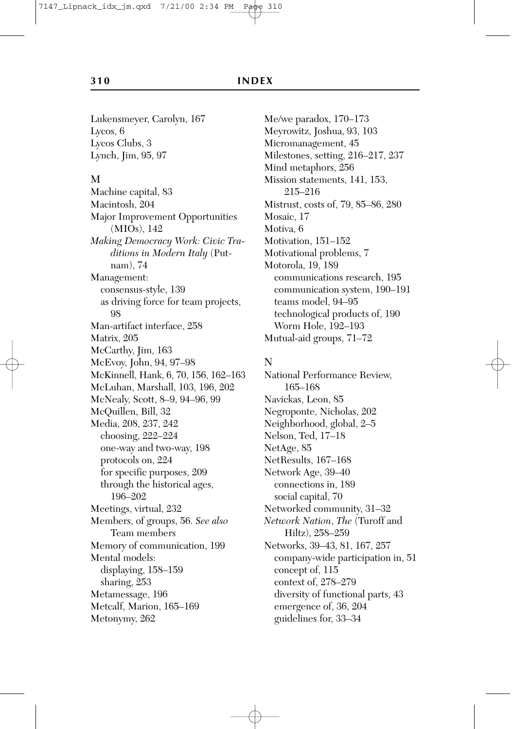Lukensmeyer, Carolyn, 167 Lycos, 6 Lycos Clubs, 3 Lynch, Jim, 95, 97

#### M

Machine capital, 83 Macintosh, 204 Major Improvement Opportunities (MIOs), 142 *Making Democracy Work: Civic Traditions in Modern Italy* (Putnam), 74 Management: consensus-style, 139 as driving force for team projects, 98 Man-artifact interface, 258 Matrix, 205 McCarthy, Jim, 163 McEvoy, John, 94, 97–98 McKinnell, Hank, 6, 70, 156, 162–163 McLuhan, Marshall, 103, 196, 202 McNealy, Scott, 8–9, 94–96, 99 McQuillen, Bill, 32 Media, 208, 237, 242 choosing, 222–224 one-way and two-way, 198 protocols on, 224 for specific purposes, 209 through the historical ages, 196–202 Meetings, virtual, 232 Members, of groups, 56. *See also* Team members Memory of communication, 199 Mental models: displaying, 158–159 sharing, 253 Metamessage, 196 Metcalf, Marion, 165–169 Metonymy, 262

Me/we paradox, 170–173 Meyrowitz, Joshua, 93, 103 Micromanagement, 45 Milestones, setting, 216–217, 237 Mind metaphors, 256 Mission statements, 141, 153, 215–216 Mistrust, costs of, 79, 85–86, 280 Mosaic, 17 Motiva, 6 Motivation, 151–152 Motivational problems, 7 Motorola, 19, 189 communications research, 195 communication system, 190–191 teams model, 94–95 technological products of, 190 Worm Hole, 192–193 Mutual-aid groups, 71–72

# N

National Performance Review, 165–168 Navickas, Leon, 85 Negroponte, Nicholas, 202 Neighborhood, global, 2–5 Nelson, Ted, 17–18 NetAge, 85 NetResults, 167–168 Network Age, 39–40 connections in, 189 social capital, 70 Networked community, 31–32 *Network Nation*, *The* (Turoff and Hiltz), 258–259 Networks, 39–43, 81, 167, 257 company-wide participation in, 51 concept of, 115 context of, 278–279 diversity of functional parts, 43 emergence of, 36, 204 guidelines for, 33–34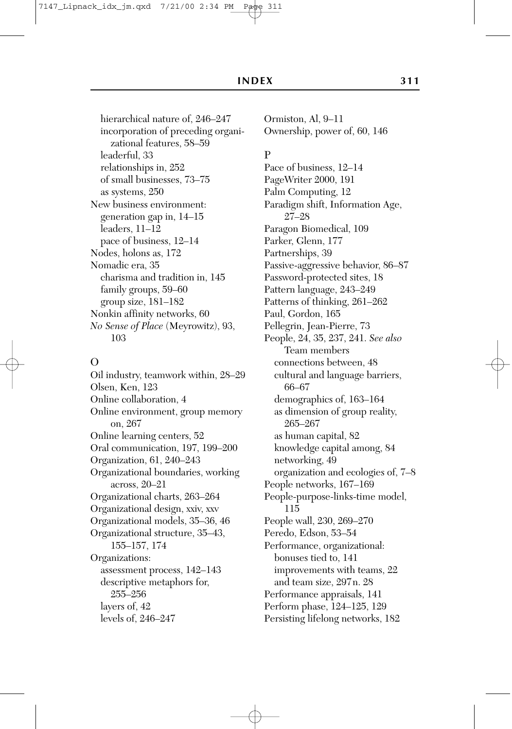hierarchical nature of, 246–247 incorporation of preceding organizational features, 58–59 leaderful, 33 relationships in, 252 of small businesses, 73–75 as systems, 250 New business environment: generation gap in, 14–15 leaders, 11–12 pace of business, 12–14 Nodes, holons as, 172 Nomadic era, 35 charisma and tradition in, 145 family groups, 59–60 group size, 181–182 Nonkin affinity networks, 60 *No Sense of Place* (Meyrowitz), 93, 103

### $\Omega$

Oil industry, teamwork within, 28–29 Olsen, Ken, 123 Online collaboration, 4 Online environment, group memory on, 267 Online learning centers, 52 Oral communication, 197, 199–200 Organization, 61, 240–243 Organizational boundaries, working across, 20–21 Organizational charts, 263–264 Organizational design, xxiv, xxv Organizational models, 35–36, 46 Organizational structure, 35–43, 155–157, 174 Organizations: assessment process, 142–143 descriptive metaphors for, 255–256 layers of, 42 levels of, 246–247

Ormiston, Al, 9–11 Ownership, power of, 60, 146

### P

Pace of business, 12–14 PageWriter 2000, 191 Palm Computing, 12 Paradigm shift, Information Age, 27–28 Paragon Biomedical, 109 Parker, Glenn, 177 Partnerships, 39 Passive-aggressive behavior, 86–87 Password-protected sites, 18 Pattern language, 243–249 Patterns of thinking, 261–262 Paul, Gordon, 165 Pellegrin, Jean-Pierre, 73 People, 24, 35, 237, 241. *See also* Team members connections between, 48 cultural and language barriers, 66–67 demographics of, 163–164 as dimension of group reality, 265–267 as human capital, 82 knowledge capital among, 84 networking, 49 organization and ecologies of, 7–8 People networks, 167–169 People-purpose-links-time model, 115 People wall, 230, 269–270 Peredo, Edson, 53–54 Performance, organizational: bonuses tied to, 141 improvements with teams, 22 and team size, 297n. 28 Performance appraisals, 141 Perform phase, 124–125, 129 Persisting lifelong networks, 182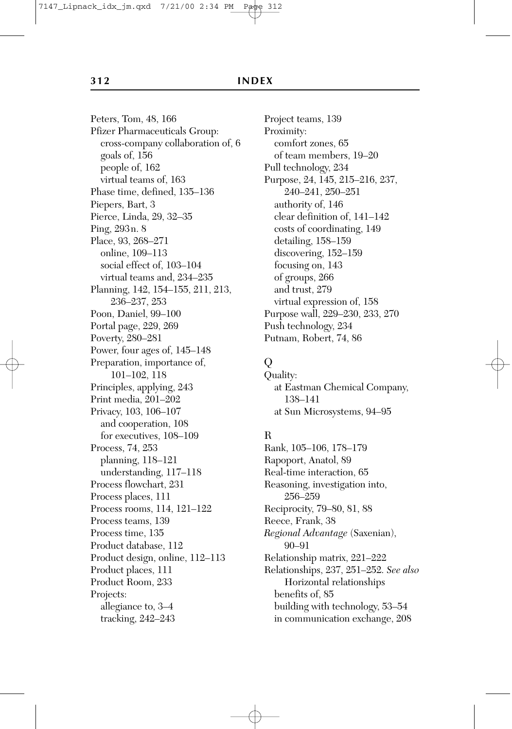#### **312 INDEX**

Peters, Tom, 48, 166 Pfizer Pharmaceuticals Group: cross-company collaboration of, 6 goals of, 156 people of, 162 virtual teams of, 163 Phase time, defined, 135–136 Piepers, Bart, 3 Pierce, Linda, 29, 32–35 Ping, 293n. 8 Place, 93, 268–271 online, 109–113 social effect of, 103–104 virtual teams and, 234–235 Planning, 142, 154–155, 211, 213, 236–237, 253 Poon, Daniel, 99–100 Portal page, 229, 269 Poverty, 280–281 Power, four ages of, 145–148 Preparation, importance of, 101–102, 118 Principles, applying, 243 Print media, 201–202 Privacy, 103, 106–107 and cooperation, 108 for executives, 108–109 Process, 74, 253 planning, 118–121 understanding, 117–118 Process flowchart, 231 Process places, 111 Process rooms, 114, 121–122 Process teams, 139 Process time, 135 Product database, 112 Product design, online, 112–113 Product places, 111 Product Room, 233 Projects: allegiance to, 3–4 tracking, 242–243

Project teams, 139 Proximity: comfort zones, 65 of team members, 19–20 Pull technology, 234 Purpose, 24, 145, 215–216, 237, 240–241, 250–251 authority of, 146 clear definition of, 141–142 costs of coordinating, 149 detailing, 158–159 discovering, 152–159 focusing on, 143 of groups, 266 and trust, 279 virtual expression of, 158 Purpose wall, 229–230, 233, 270 Push technology, 234 Putnam, Robert, 74, 86

# Q

Quality: at Eastman Chemical Company, 138–141 at Sun Microsystems, 94–95

# R

Rank, 105–106, 178–179 Rapoport, Anatol, 89 Real-time interaction, 65 Reasoning, investigation into, 256–259 Reciprocity, 79–80, 81, 88 Reece, Frank, 38 *Regional Advantage* (Saxenian), 90–91 Relationship matrix, 221–222 Relationships, 237, 251–252. *See also* Horizontal relationships benefits of, 85 building with technology, 53–54 in communication exchange, 208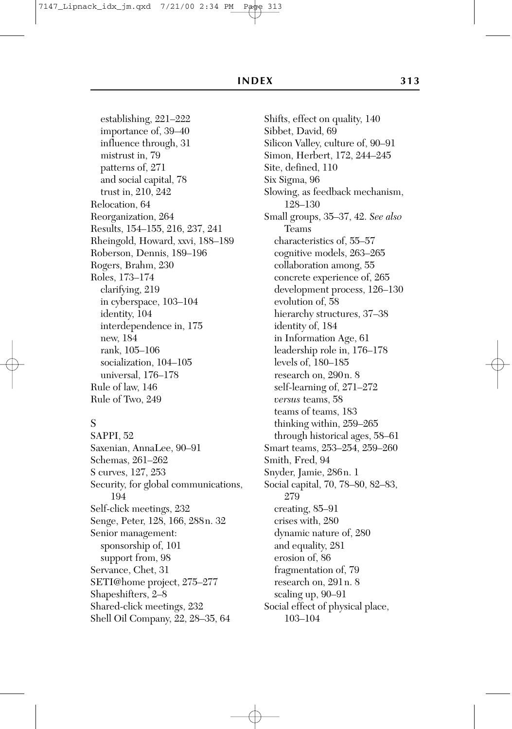establishing, 221–222 importance of, 39–40 influence through, 31 mistrust in, 79 patterns of, 271 and social capital, 78 trust in, 210, 242 Relocation, 64 Reorganization, 264 Results, 154–155, 216, 237, 241 Rheingold, Howard, xxvi, 188–189 Roberson, Dennis, 189–196 Rogers, Brahm, 230 Roles, 173–174 clarifying, 219 in cyberspace, 103–104 identity, 104 interdependence in, 175 new, 184 rank, 105–106 socialization, 104–105 universal, 176–178 Rule of law, 146 Rule of Two, 249

### S

SAPPI, 52 Saxenian, AnnaLee, 90–91 Schemas, 261–262 S curves, 127, 253 Security, for global communications, 194 Self-click meetings, 232 Senge, Peter, 128, 166, 288n. 32 Senior management: sponsorship of, 101 support from, 98 Servance, Chet, 31 SETI@home project, 275–277 Shapeshifters, 2–8 Shared-click meetings, 232 Shell Oil Company, 22, 28–35, 64

Shifts, effect on quality, 140 Sibbet, David, 69 Silicon Valley, culture of, 90–91 Simon, Herbert, 172, 244–245 Site, defined, 110 Six Sigma, 96 Slowing, as feedback mechanism, 128–130 Small groups, 35–37, 42. *See also* Teams characteristics of, 55–57 cognitive models, 263–265 collaboration among, 55 concrete experience of, 265 development process, 126–130 evolution of, 58 hierarchy structures, 37–38 identity of, 184 in Information Age, 61 leadership role in, 176–178 levels of, 180–185 research on, 290n. 8 self-learning of, 271–272 *versus* teams, 58 teams of teams, 183 thinking within, 259–265 through historical ages, 58–61 Smart teams, 253–254, 259–260 Smith, Fred, 94 Snyder, Jamie, 286n. 1 Social capital, 70, 78–80, 82–83, 279 creating, 85–91 crises with, 280 dynamic nature of, 280 and equality, 281 erosion of, 86 fragmentation of, 79 research on, 291n. 8 scaling up, 90–91 Social effect of physical place, 103–104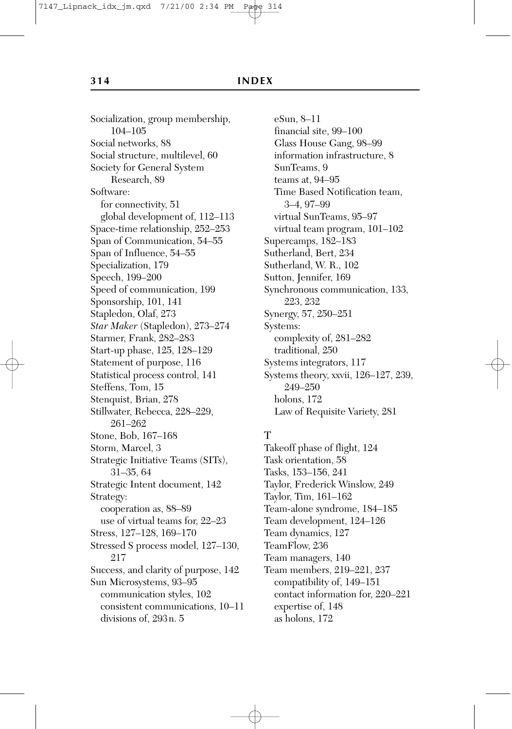Socialization, group membership, 104–105 Social networks, 88 Social structure, multilevel, 60 Society for General System Research, 89 Software: for connectivity, 51 global development of, 112–113 Space-time relationship, 252–253 Span of Communication, 54–55 Span of Influence, 54–55 Specialization, 179 Speech, 199–200 Speed of communication, 199 Sponsorship, 101, 141 Stapledon, Olaf, 273 *Star Maker* (Stapledon), 273–274 Starmer, Frank, 282–283 Start-up phase, 125, 128–129 Statement of purpose, 116 Statistical process control, 141 Steffens, Tom, 15 Stenquist, Brian, 278 Stillwater, Rebecca, 228–229, 261–262 Stone, Bob, 167–168 Storm, Marcel, 3 Strategic Initiative Teams (SITs), 31–35, 64 Strategic Intent document, 142 Strategy: cooperation as, 88–89 use of virtual teams for, 22–23 Stress, 127–128, 169–170 Stressed S process model, 127–130, 217 Success, and clarity of purpose, 142 Sun Microsystems, 93–95 communication styles, 102 consistent communications, 10–11 divisions of, 293n. 5

eSun, 8–11 financial site, 99–100 Glass House Gang, 98–99 information infrastructure, 8 SunTeams, 9 teams at, 94–95 Time Based Notification team, 3–4, 97–99 virtual SunTeams, 95–97 virtual team program, 101–102 Supercamps, 182–183 Sutherland, Bert, 234 Sutherland, W. R., 102 Sutton, Jennifer, 169 Synchronous communication, 133, 223, 232 Synergy, 57, 250–251 Systems: complexity of, 281–282 traditional, 250 Systems integrators, 117 Systems theory, xxvii, 126–127, 239, 249–250 holons, 172 Law of Requisite Variety, 281

### T

Takeoff phase of flight, 124 Task orientation, 58 Tasks, 153–156, 241 Taylor, Frederick Winslow, 249 Taylor, Tim, 161–162 Team-alone syndrome, 184–185 Team development, 124–126 Team dynamics, 127 TeamFlow, 236 Team managers, 140 Team members, 219–221, 237 compatibility of, 149–151 contact information for, 220–221 expertise of, 148 as holons, 172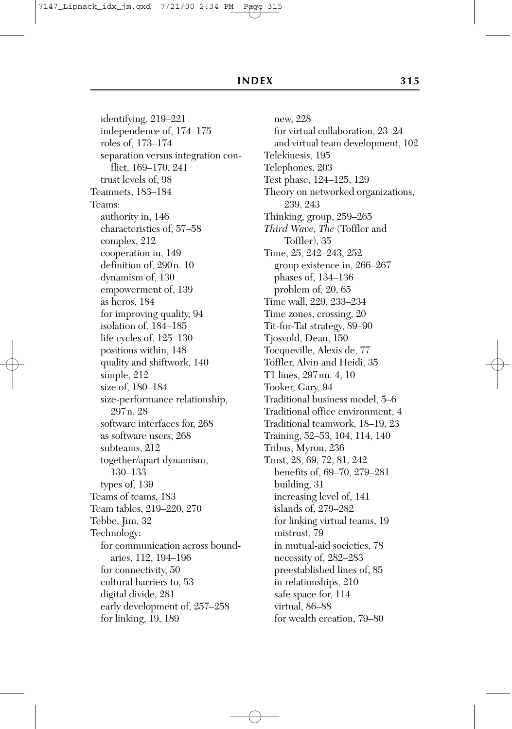identifying, 219–221 independence of, 174–175 roles of, 173–174 separation versus integration conflict, 169–170, 241 trust levels of, 98 Teamnets, 183–184 Teams: authority in, 146 characteristics of, 57–58 complex, 212 cooperation in, 149 definition of, 290n. 10 dynamism of, 130 empowerment of, 139 as heros, 184 for improving quality, 94 isolation of, 184–185 life cycles of, 125–130 positions within, 148 quality and shiftwork, 140 simple, 212 size of, 180–184 size-performance relationship, 297n. 28 software interfaces for, 268 as software users, 268 subteams, 212 together/apart dynamism, 130–133 types of, 139 Teams of teams, 183 Team tables, 219–220, 270 Tebbe, Jim, 32 Technology: for communication across boundaries, 112, 194–196 for connectivity, 50 cultural barriers to, 53 digital divide, 281 early development of, 257–258 for linking, 19, 189

new, 228 for virtual collaboration, 23–24 and virtual team development, 102 Telekinesis, 195 Telephones, 203 Test phase, 124–125, 129 Theory on networked organizations, 239, 243 Thinking, group, 259–265 *Third Wave, The* (Toffler and Toffler), 35 Time, 25, 242–243, 252 group existence in, 266–267 phases of, 134–136 problem of, 20, 65 Time wall, 229, 233–234 Time zones, crossing, 20 Tit-for-Tat strategy, 89–90 Tjosvold, Dean, 150 Tocqueville, Alexis de, 77 Toffler, Alvin and Heidi, 35 T1 lines, 297nn. 4, 10 Tooker, Gary, 94 Traditional business model, 5–6 Traditional office environment, 4 Traditional teamwork, 18–19, 23 Training, 52–53, 104, 114, 140 Tribus, Myron, 236 Trust, 28, 69, 72, 81, 242 benefits of, 69–70, 279–281 building, 31 increasing level of, 141 islands of, 279–282 for linking virtual teams, 19 mistrust, 79 in mutual-aid societies, 78 necessity of, 282–283 preestablished lines of, 85 in relationships, 210 safe space for, 114 virtual, 86–88 for wealth creation, 79–80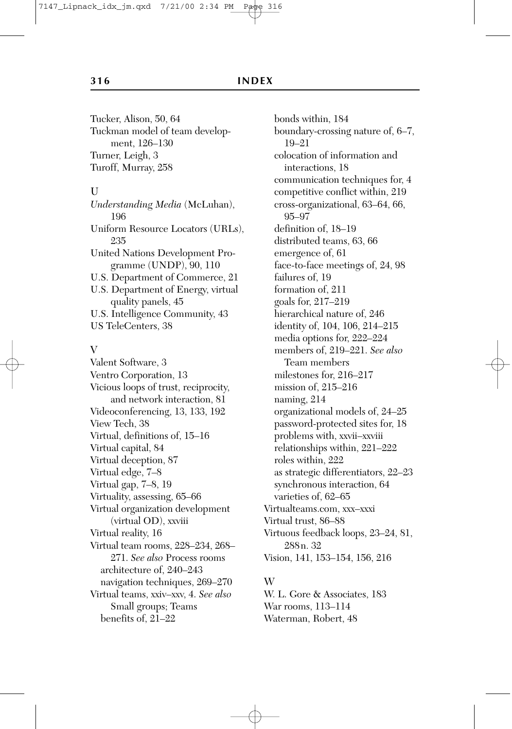Tucker, Alison, 50, 64 Tuckman model of team development, 126–130 Turner, Leigh, 3 Turoff, Murray, 258

#### U

*Understanding Media* (McLuhan), 196 Uniform Resource Locators (URLs), 235 United Nations Development Programme (UNDP), 90, 110 U.S. Department of Commerce, 21 U.S. Department of Energy, virtual quality panels, 45 U.S. Intelligence Community, 43 US TeleCenters, 38

#### $V$

Valent Software, 3 Ventro Corporation, 13 Vicious loops of trust, reciprocity, and network interaction, 81 Videoconferencing, 13, 133, 192 View Tech, 38 Virtual, definitions of, 15–16 Virtual capital, 84 Virtual deception, 87 Virtual edge, 7–8 Virtual gap, 7–8, 19 Virtuality, assessing, 65–66 Virtual organization development (virtual OD), xxviii Virtual reality, 16 Virtual team rooms, 228–234, 268– 271. *See also* Process rooms architecture of, 240–243 navigation techniques, 269–270 Virtual teams, xxiv–xxv, 4. *See also* Small groups; Teams benefits of, 21–22

bonds within, 184 boundary-crossing nature of, 6–7, 19–21 colocation of information and interactions, 18 communication techniques for, 4 competitive conflict within, 219 cross-organizational, 63–64, 66, 95–97 definition of, 18–19 distributed teams, 63, 66 emergence of, 61 face-to-face meetings of, 24, 98 failures of, 19 formation of, 211 goals for, 217–219 hierarchical nature of, 246 identity of, 104, 106, 214–215 media options for, 222–224 members of, 219–221. *See also* Team members milestones for, 216–217 mission of, 215–216 naming, 214 organizational models of, 24–25 password-protected sites for, 18 problems with, xxvii–xxviii relationships within, 221–222 roles within, 222 as strategic differentiators, 22–23 synchronous interaction, 64 varieties of, 62–65 Virtualteams.com, xxx–xxxi Virtual trust, 86–88 Virtuous feedback loops, 23–24, 81, 288n. 32 Vision, 141, 153–154, 156, 216

#### W

W. L. Gore & Associates, 183 War rooms, 113–114 Waterman, Robert, 48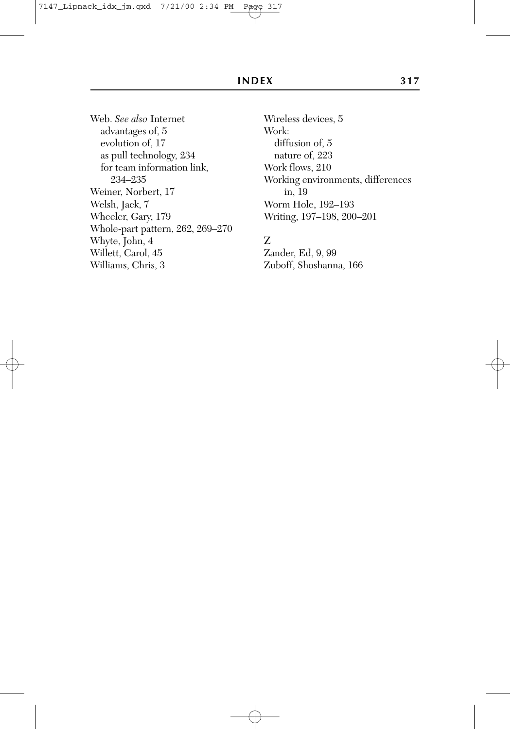Web. *See also* Internet advantages of, 5 evolution of, 17 as pull technology, 234 for team information link, 234–235 Weiner, Norbert, 17 Welsh, Jack, 7 Wheeler, Gary, 179 Whole-part pattern, 262, 269–270 Whyte, John, 4 Willett, Carol, 45 Williams, Chris, 3

Wireless devices, 5 Work: diffusion of, 5 nature of, 223 Work flows, 210 Working environments, differences in, 19 Worm Hole, 192–193 Writing, 197–198, 200–201

# Z

Zander, Ed, 9, 99 Zuboff, Shoshanna, 166